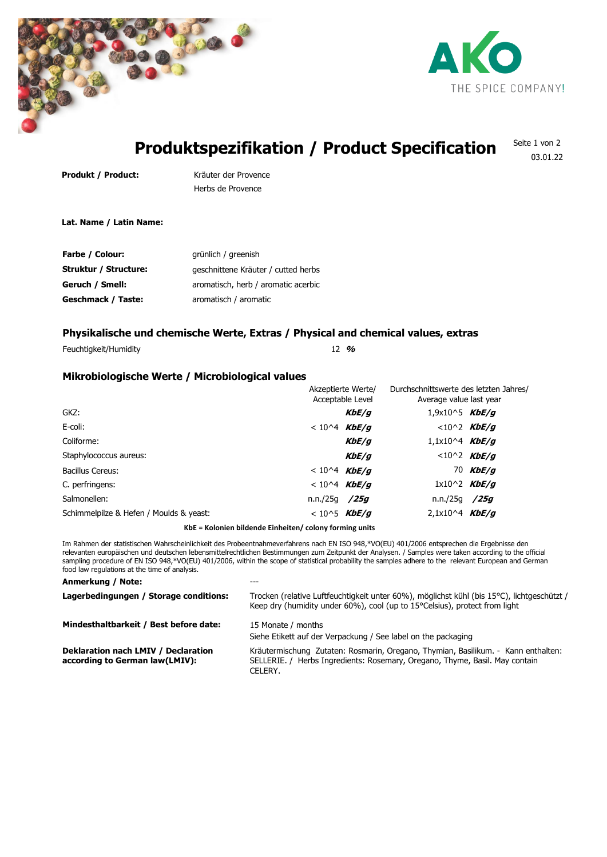



# **Produktspezifikation / Product Specification**

Seite 1 von 2 03.01.22

Produkt / Product: Kräuter der Provence

Herbs de Provence

**Lat. Name / Latin Name:**

| <b>Farbe / Colour:</b> | grünlich / greenish                 |
|------------------------|-------------------------------------|
| Struktur / Structure:  | geschnittene Kräuter / cutted herbs |
| Geruch / Smell:        | aromatisch, herb / aromatic acerbic |
| Geschmack / Taste:     | aromatisch / aromatic               |

## **Physikalische und chemische Werte, Extras / Physical and chemical values, extras**

Feuchtigkeit/Humidity 12 **%**

## **Mikrobiologische Werte / Microbiological values**

|                                         |                  | Akzeptierte Werte/<br>Acceptable Level |                  | Durchschnittswerte des letzten Jahres/<br>Average value last year |  |
|-----------------------------------------|------------------|----------------------------------------|------------------|-------------------------------------------------------------------|--|
| GKZ:                                    |                  | <i>KbE/g</i>                           | $1,9x10^5$ KbE/g |                                                                   |  |
| E-coli:                                 | $< 10^{4}$ KbE/g |                                        |                  | $< 10^2$ KbE/g                                                    |  |
| Coliforme:                              |                  | <i>KbE/g</i>                           | $1,1x10^4$ KbE/g |                                                                   |  |
| Staphylococcus aureus:                  |                  | KbE/g                                  |                  | $< 10^2$ KbE/g                                                    |  |
| Bacillus Cereus:                        | $< 10^{4}$ KbE/g |                                        |                  | 70 $KbE/q$                                                        |  |
| C. perfringens:                         | $< 10^{4}$ KbE/g |                                        |                  | $1x10^2$ KbE/g                                                    |  |
| Salmonellen:                            | n.n./25q /25q    |                                        | n.n./25g         | /25g                                                              |  |
| Schimmelpilze & Hefen / Moulds & yeast: | $< 10^{5}$ KbE/g |                                        | $2,1x10^4$ KbE/g |                                                                   |  |
|                                         |                  |                                        |                  |                                                                   |  |

**KbE = Kolonien bildende Einheiten/ colony forming units**

Im Rahmen der statistischen Wahrscheinlichkeit des Probeentnahmeverfahrens nach EN ISO 948,\*VO(EU) 401/2006 entsprechen die Ergebnisse den relevanten europäischen und deutschen lebensmittelrechtlichen Bestimmungen zum Zeitpunkt der Analysen. / Samples were taken according to the official sampling procedure of EN ISO 948,\*VO(EU) 401/2006, within the scope of statistical probability the samples adhere to the relevant European and German food law regulations at the time of analysis.

### **Anmerkung / Note:** ---

| Trocken (relative Luftfeuchtigkeit unter 60%), möglichst kühl (bis 15°C), lichtgeschützt /<br>Keep dry (humidity under $60\%$ ), cool (up to 15 $^{\circ}$ Celsius), protect from light |
|-----------------------------------------------------------------------------------------------------------------------------------------------------------------------------------------|
| 15 Monate / months<br>Siehe Etikett auf der Verpackung / See label on the packaging                                                                                                     |
| Kräutermischung Zutaten: Rosmarin, Oregano, Thymian, Basilikum. - Kann enthalten:<br>SELLERIE. / Herbs Ingredients: Rosemary, Oregano, Thyme, Basil. May contain<br>CELERY.             |
|                                                                                                                                                                                         |